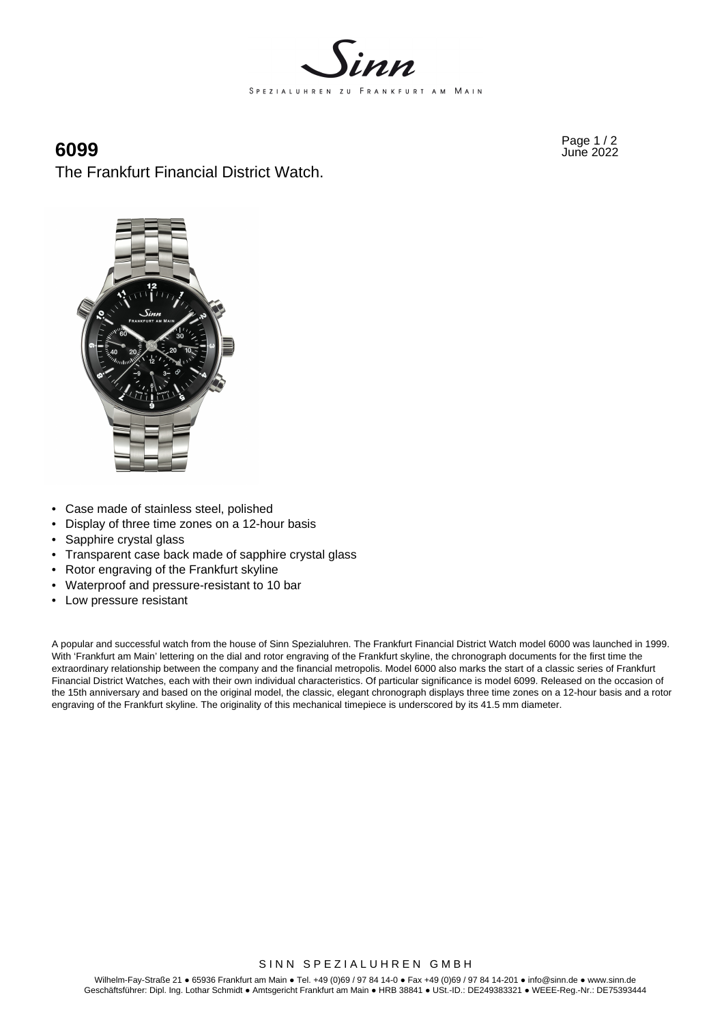

Page 1 / 2 **6099** June 2022

The Frankfurt Financial District Watch.



- Case made of stainless steel, polished
- Display of three time zones on a 12-hour basis
- Sapphire crystal glass
- Transparent case back made of sapphire crystal glass
- Rotor engraving of the Frankfurt skyline
- Waterproof and pressure-resistant to 10 bar
- Low pressure resistant

A popular and successful watch from the house of Sinn Spezialuhren. The Frankfurt Financial District Watch model 6000 was launched in 1999. With 'Frankfurt am Main' lettering on the dial and rotor engraving of the Frankfurt skyline, the chronograph documents for the first time the extraordinary relationship between the company and the financial metropolis. Model 6000 also marks the start of a classic series of Frankfurt Financial District Watches, each with their own individual characteristics. Of particular significance is model 6099. Released on the occasion of the 15th anniversary and based on the original model, the classic, elegant chronograph displays three time zones on a 12-hour basis and a rotor engraving of the Frankfurt skyline. The originality of this mechanical timepiece is underscored by its 41.5 mm diameter.